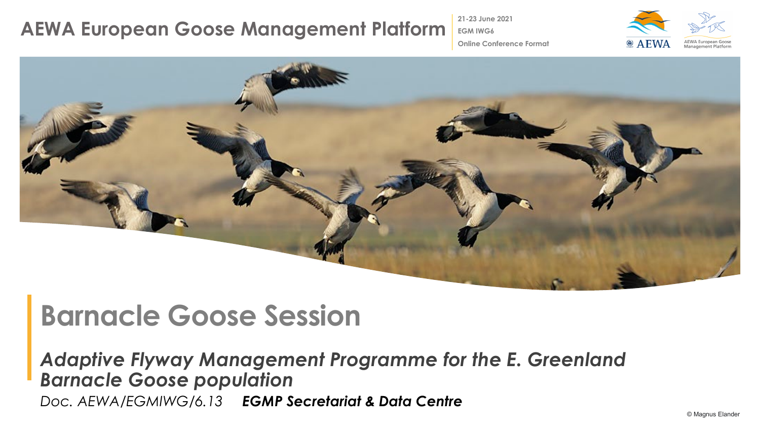**21-23 June 2021 EGM IWG6**



**Online Conference Format**



# **Barnacle Goose Session**

*Adaptive Flyway Management Programme for the E. Greenland Barnacle Goose population Doc. AEWA/EGMIWG/6.13 EGMP Secretariat & Data Centre*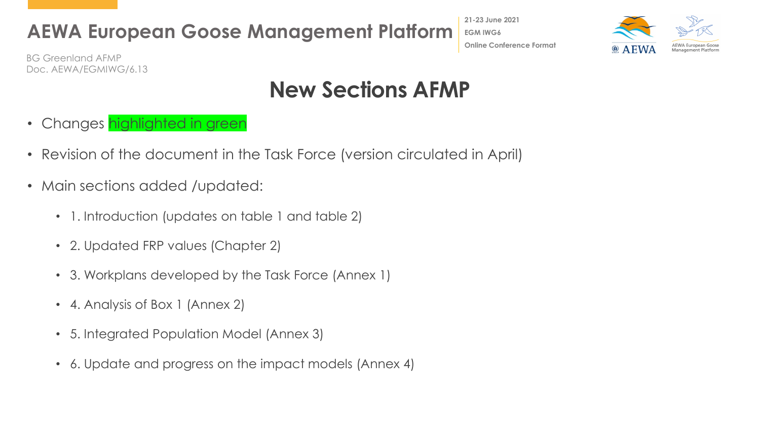**21-23 June 2021 EGM IWG6 Online Conference Format**



BG Greenland AFMP Doc. AEWA/EGMIWG/6.13

## **New Sections AFMP**

- Changes highlighted in green
- Revision of the document in the Task Force (version circulated in April)
- Main sections added /updated:
	- 1. Introduction (updates on table 1 and table 2)
	- 2. Updated FRP values (Chapter 2)
	- 3. Workplans developed by the Task Force (Annex 1)
	- 4. Analysis of Box 1 (Annex 2)
	- 5. Integrated Population Model (Annex 3)
	- 6. Update and progress on the impact models (Annex 4)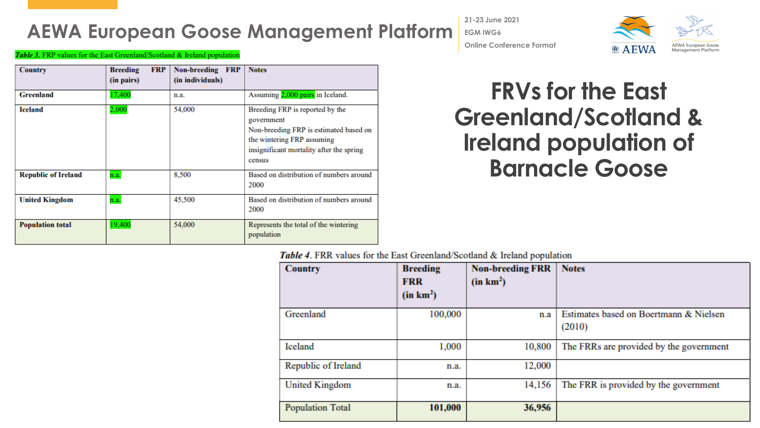**21-23 June 2021 EGM IWG6 Online Conference Format**



Table 3. FRP values for the East Greenland/Scotland & Ireland population

| <b>Country</b>             | <b>FRP</b><br><b>Breeding</b><br>(in pairs) | <b>Non-breeding</b><br><b>FRP</b><br>(in individuals) | <b>Notes</b>                                                                                                                                                                |
|----------------------------|---------------------------------------------|-------------------------------------------------------|-----------------------------------------------------------------------------------------------------------------------------------------------------------------------------|
| <b>Greenland</b>           | 17,400                                      | n.a.                                                  | Assuming 2,000 pairs in Iceland.                                                                                                                                            |
| <b>Iceland</b>             | 2,000                                       | 54,000                                                | Breeding FRP is reported by the<br>government<br>Non-breeding FRP is estimated based on<br>the wintering FRP assuming<br>insignificant mortality after the spring<br>census |
| <b>Republic of Ireland</b> | n.a.                                        | 8,500                                                 | Based on distribution of numbers around<br>2000                                                                                                                             |
| <b>United Kingdom</b>      | n.a.                                        | 45,500                                                | Based on distribution of numbers around<br>2000                                                                                                                             |
| <b>Population total</b>    | 19,400                                      | 54,000                                                | Represents the total of the wintering<br>population                                                                                                                         |

## **FRVs for the East Greenland/Scotland & Ireland population of Barnacle Goose**

Table 4. FRR values for the East Greenland/Scotland & Ireland population

| <b>Country</b>          | <b>Breeding</b><br><b>FRR</b><br>(in km <sup>2</sup> ) | <b>Non-breeding FRR</b><br>(in km <sup>2</sup> ) | <b>Notes</b>                                     |
|-------------------------|--------------------------------------------------------|--------------------------------------------------|--------------------------------------------------|
| Greenland               | 100,000                                                | n.a                                              | Estimates based on Boertmann & Nielsen<br>(2010) |
| Iceland                 | 1,000                                                  | 10,800                                           | The FRRs are provided by the government          |
| Republic of Ireland     | n.a.                                                   | 12,000                                           |                                                  |
| <b>United Kingdom</b>   | n.a.                                                   | 14,156                                           | The FRR is provided by the government            |
| <b>Population Total</b> | 101,000                                                | 36,956                                           |                                                  |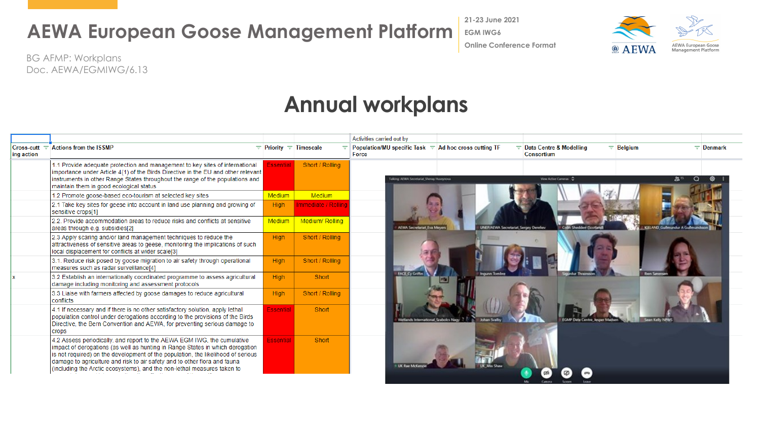**21-23 June 2021**

**EGM IWG6**

**AEWA European Goose AEWA** Management Platform

BG AFMP: Workplans Doc. AEWA/EGMIWG/6.13

### **Annual workplans**

|            |                                                                                                                                                                                                                                                                                                                                                                                                      |                            |                     | Activities carried out by                                                                                                                                              |
|------------|------------------------------------------------------------------------------------------------------------------------------------------------------------------------------------------------------------------------------------------------------------------------------------------------------------------------------------------------------------------------------------------------------|----------------------------|---------------------|------------------------------------------------------------------------------------------------------------------------------------------------------------------------|
| ing action | $Cross-cut =$ Actions from the ISSMP                                                                                                                                                                                                                                                                                                                                                                 | $=$ Priority $=$ Timescale |                     | $\equiv$ Data Centre & Modelling<br>$\equiv$ Belgium<br>Population/MU specific Task $\equiv$ Ad hoc cross cutting TF<br>$\equiv$ Denmark<br>Force<br><b>Consortium</b> |
|            | 1.1 Provide adequate protection and management to key sites of international<br>importance under Article 4(1) of the Birds Directive in the EU and other relevant<br>instruments in other Range States throughout the range of the populations and<br>maintain them in good ecological status                                                                                                        | Essential                  | Short / Rolling     | View Active Cameras C<br>alking ATWA Secretarial Sheray Huseynova                                                                                                      |
|            | 1.2 Promote goose-based eco-tourism at selected key sites                                                                                                                                                                                                                                                                                                                                            | Medium                     | Medium              |                                                                                                                                                                        |
|            | 2.1 Take key sites for geese into account in land use planning and growing of<br>sensitive crops[1]                                                                                                                                                                                                                                                                                                  | High                       | Immediate / Rolling |                                                                                                                                                                        |
|            | 2.2. Provide accommodation areas to reduce risks and conflicts at sensitive<br>areas through e.g. subsidies[2]                                                                                                                                                                                                                                                                                       | Medium                     | Medium/Rolling      | <b>AEWA Secretariat Eva Meyer</b><br><b>JNEP/AEWA Secretariat Sergey Dereliev</b><br><b>KELAND Guilmundur A Gu</b><br><b>Colin Shedden (Scotland</b>                   |
|            | 2.3 Apply scaring and/or land management techniques to reduce the<br>attractiveness of sensitive areas to geese, monitoring the implications of such<br>local displacement for conflicts at wider scale[3]                                                                                                                                                                                           | High                       | Short / Rolling     |                                                                                                                                                                        |
|            | 3.1. Reduce risk posed by goose migration to air safety through operational<br>measures such as radar surveillance[4]                                                                                                                                                                                                                                                                                | High                       | Short / Rolling     |                                                                                                                                                                        |
|            | 3.2 Establish an internationally coordinated programme to assess agricultural<br>damage including monitoring and assessment protocols                                                                                                                                                                                                                                                                | <b>High</b>                | Short               | <b>FACE Cy Griffin</b>                                                                                                                                                 |
|            | 3.3 Liaise with farmers affected by goose damages to reduce agricultural<br>conflicts                                                                                                                                                                                                                                                                                                                | High                       | Short / Rolling     |                                                                                                                                                                        |
|            | 4.1 If necessary and if there is no other satisfactory solution, apply lethal<br>population control under derogations according to the provisions of the Birds<br>Directive, the Bern Convention and AEWA, for preventing serious damage to<br><b>Crops</b>                                                                                                                                          | Essential                  | Short               | Wetlands International Stabolcs Nagy                                                                                                                                   |
|            | 4.2 Assess periodically, and report to the AEWA EGM IWG, the cumulative<br>impact of derogations (as well as hunting in Range States in which derogation<br>is not required) on the development of the population, the likelihood of serious<br>damage to agriculture and risk to air safety and to other flora and fauna<br>(including the Arctic ecosystems), and the non-lethal measures taken to | Essential                  | Short               |                                                                                                                                                                        |
|            |                                                                                                                                                                                                                                                                                                                                                                                                      |                            |                     |                                                                                                                                                                        |

**Online Conference Format**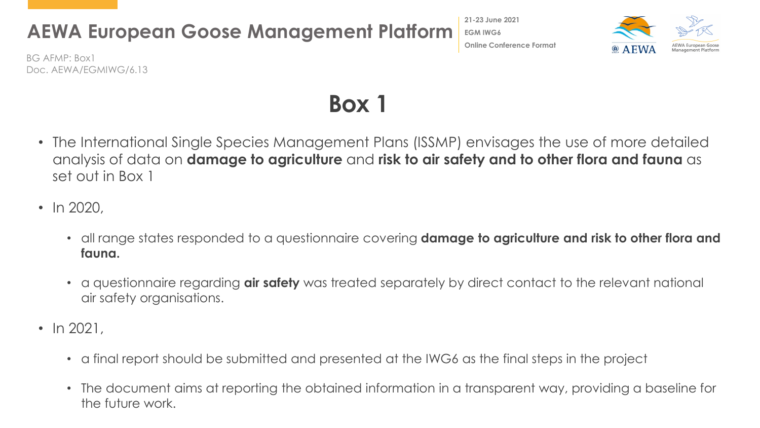**EGM IWG6 Online Conference Format**

**21-23 June 2021**



BG AFMP: Box1 Doc. AEWA/EGMIWG/6.13

# **Box 1**

- The International Single Species Management Plans (ISSMP) envisages the use of more detailed analysis of data on **damage to agriculture** and **risk to air safety and to other flora and fauna** as set out in Box 1
- In 2020,
	- all range states responded to a questionnaire covering **damage to agriculture and risk to other flora and fauna.**
	- a questionnaire regarding **air safety** was treated separately by direct contact to the relevant national air safety organisations.
- $\ln 2021$ .
	- a final report should be submitted and presented at the IWG6 as the final steps in the project
	- The document aims at reporting the obtained information in a transparent way, providing a baseline for the future work.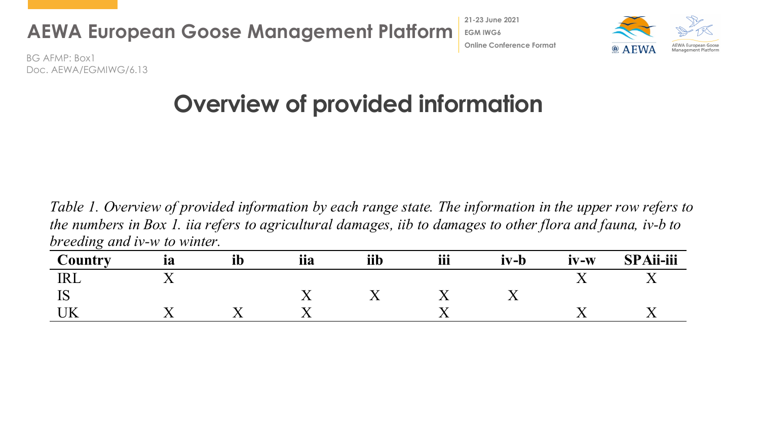

**21-23 June 2021 EGM IWG6 Online Conference Format**



BG AFMP: Box1 Doc. AEWA/EGMIWG/6.13

# **Overview of provided information**

*Table 1. Overview of provided information by each range state. The information in the upper row refers to the numbers in Box 1. iia refers to agricultural damages, iib to damages to other flora and fauna, iv-b to breeding and iv-w to winter.*

| ``auntrv    | 1a | ᆧ | iia | iib | iii                      | $iv-b$      | $IV-W$ | <b>SPAii-iii</b> |
|-------------|----|---|-----|-----|--------------------------|-------------|--------|------------------|
| TT.<br>TTTT |    |   |     |     |                          |             |        |                  |
| TΩ<br>TĤ    |    |   | ◢▴  |     | $\overline{\phantom{a}}$ | <u>* * </u> |        |                  |
|             |    |   | . x |     | ◢▴                       |             | ∡ ∍    |                  |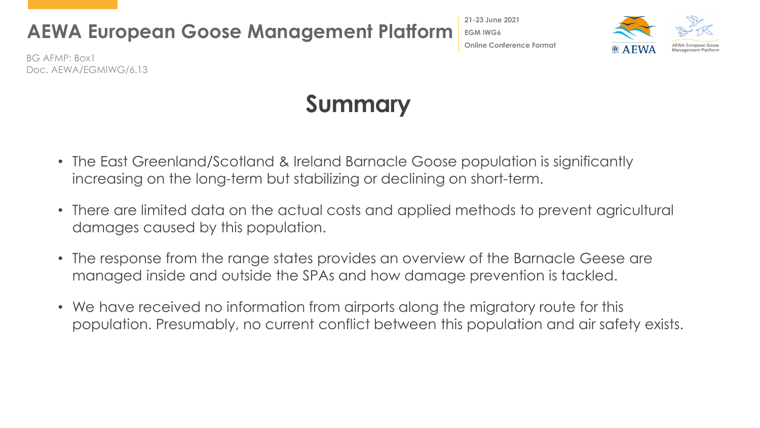**21-23 June 2021 EGM IWG6 Online Conference Format**



BG AFMP: Box1 Doc. AEWA/EGMIWG/6.13

## **Summary**

- The East Greenland/Scotland & Ireland Barnacle Goose population is significantly increasing on the long-term but stabilizing or declining on short-term.
- There are limited data on the actual costs and applied methods to prevent agricultural damages caused by this population.
- The response from the range states provides an overview of the Barnacle Geese are managed inside and outside the SPAs and how damage prevention is tackled.
- We have received no information from airports along the migratory route for this population. Presumably, no current conflict between this population and air safety exists.